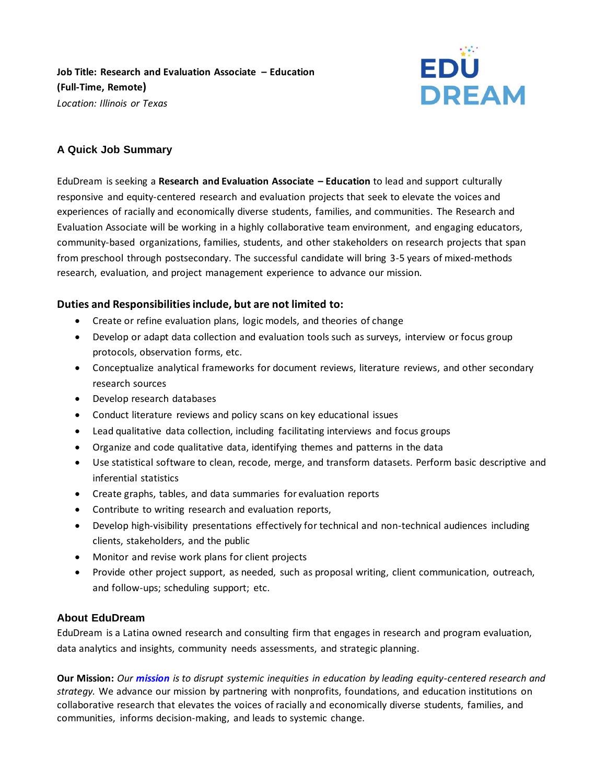**Job Title: Research and Evaluation Associate – Education (Full-Time, Remote)**  *Location: Illinois or Texas*



# **A Quick Job Summary**

EduDream is seeking a **Research and Evaluation Associate – Education** to lead and support culturally responsive and equity-centered research and evaluation projects that seek to elevate the voices and experiences of racially and economically diverse students, families, and communities. The Research and Evaluation Associate will be working in a highly collaborative team environment, and engaging educators, community-based organizations, families, students, and other stakeholders on research projects that span from preschool through postsecondary. The successful candidate will bring 3-5 years of mixed-methods research, evaluation, and project management experience to advance our mission.

## **Duties and Responsibilitiesinclude, but are not limited to:**

- Create or refine evaluation plans, logic models, and theories of change
- Develop or adapt data collection and evaluation tools such as surveys, interview or focus group protocols, observation forms, etc.
- Conceptualize analytical frameworks for document reviews, literature reviews, and other secondary research sources
- Develop research databases
- Conduct literature reviews and policy scans on key educational issues
- Lead qualitative data collection, including facilitating interviews and focus groups
- Organize and code qualitative data, identifying themes and patterns in the data
- Use statistical software to clean, recode, merge, and transform datasets. Perform basic descriptive and inferential statistics
- Create graphs, tables, and data summaries for evaluation reports
- Contribute to writing research and evaluation reports,
- Develop high-visibility presentations effectively for technical and non-technical audiences including clients, stakeholders, and the public
- Monitor and revise work plans for client projects
- Provide other project support, as needed, such as proposal writing, client communication, outreach, and follow-ups; scheduling support; etc.

## **About EduDream**

EduDream is a Latina owned research and consulting firm that engages in research and program evaluation, data analytics and insights, community needs assessments, and strategic planning.

**Our Mission:** *Our mission is to disrupt systemic inequities in education by leading equity-centered research and strategy.* We advance our mission by partnering with nonprofits, foundations, and education institutions on collaborative research that elevates the voices of racially and economically diverse students, families, and communities, informs decision-making, and leads to systemic change.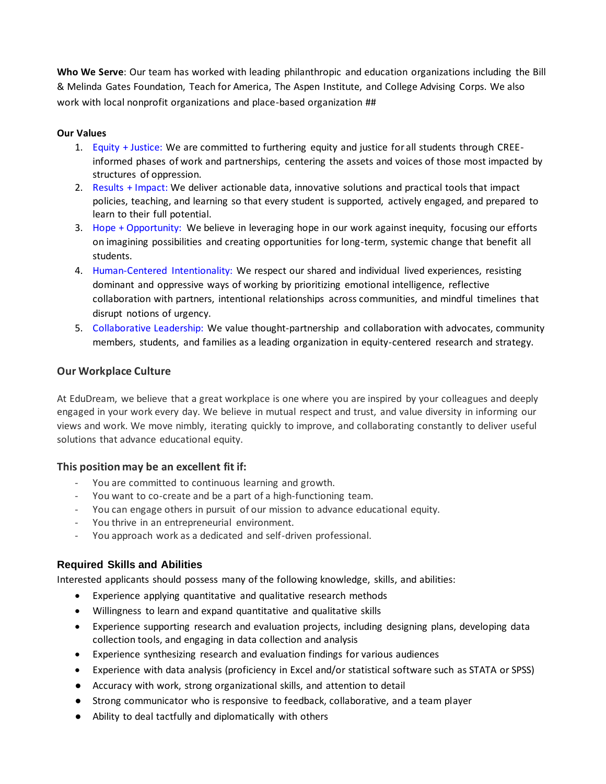**Who We Serve**: Our team has worked with leading philanthropic and education organizations including the Bill & Melinda Gates Foundation, Teach for America, The Aspen Institute, and College Advising Corps. We also work with local nonprofit organizations and place-based organization ##

### **Our Values**

- 1. Equity + Justice: We are committed to furthering equity and justice for all students through CREEinformed phases of work and partnerships, centering the assets and voices of those most impacted by structures of oppression.
- 2. Results + Impact: We deliver actionable data, innovative solutions and practical tools that impact policies, teaching, and learning so that every student is supported, actively engaged, and prepared to learn to their full potential.
- 3. Hope + Opportunity: We believe in leveraging hope in our work against inequity, focusing our efforts on imagining possibilities and creating opportunities for long-term, systemic change that benefit all students.
- 4. Human-Centered Intentionality: We respect our shared and individual lived experiences, resisting dominant and oppressive ways of working by prioritizing emotional intelligence, reflective collaboration with partners, intentional relationships across communities, and mindful timelines that disrupt notions of urgency.
- 5. Collaborative Leadership: We value thought-partnership and collaboration with advocates, community members, students, and families as a leading organization in equity-centered research and strategy.

## **Our Workplace Culture**

At EduDream, we believe that a great workplace is one where you are inspired by your colleagues and deeply engaged in your work every day. We believe in mutual respect and trust, and value diversity in informing our views and work. We move nimbly, iterating quickly to improve, and collaborating constantly to deliver useful solutions that advance educational equity.

### **This position may be an excellent fit if:**

- You are committed to continuous learning and growth.
- You want to co-create and be a part of a high-functioning team.
- You can engage others in pursuit of our mission to advance educational equity.
- You thrive in an entrepreneurial environment.
- You approach work as a dedicated and self-driven professional.

## **Required Skills and Abilities**

Interested applicants should possess many of the following knowledge, skills, and abilities:

- Experience applying quantitative and qualitative research methods
- Willingness to learn and expand quantitative and qualitative skills
- Experience supporting research and evaluation projects, including designing plans, developing data collection tools, and engaging in data collection and analysis
- Experience synthesizing research and evaluation findings for various audiences
- Experience with data analysis (proficiency in Excel and/or statistical software such as STATA or SPSS)
- Accuracy with work, strong organizational skills, and attention to detail
- Strong communicator who is responsive to feedback, collaborative, and a team player
- Ability to deal tactfully and diplomatically with others